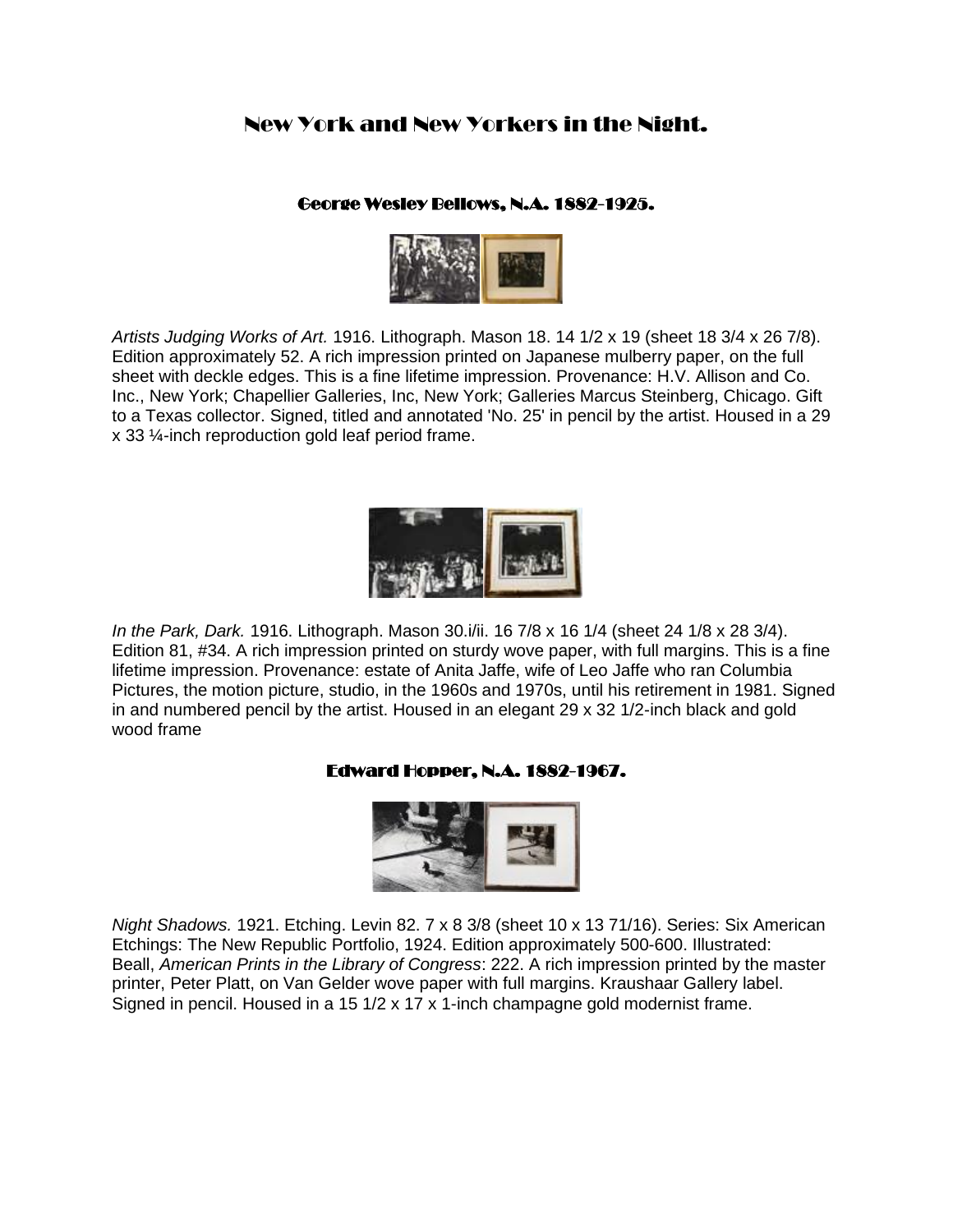# New York and New Yorkers in the Night.

# George Wesley Bellows, N.A. 1882-1925.



*Artists Judging Works of Art.* 1916. Lithograph. Mason 18. 14 1/2 x 19 (sheet 18 3/4 x 26 7/8). Edition approximately 52. A rich impression printed on Japanese mulberry paper, on the full sheet with deckle edges. This is a fine lifetime impression. Provenance: H.V. Allison and Co. Inc., New York; Chapellier Galleries, Inc, New York; Galleries Marcus Steinberg, Chicago. Gift to a Texas collector. Signed, titled and annotated 'No. 25' in pencil by the artist. Housed in a 29 x 33 ¼-inch reproduction gold leaf period frame.



*In the Park, Dark.* 1916. Lithograph. Mason 30.i/ii. 16 7/8 x 16 1/4 (sheet 24 1/8 x 28 3/4). Edition 81, #34. A rich impression printed on sturdy wove paper, with full margins. This is a fine lifetime impression. Provenance: estate of Anita Jaffe, wife of Leo Jaffe who ran Columbia Pictures, the motion picture, studio, in the 1960s and 1970s, until his retirement in 1981. Signed in and numbered pencil by the artist. Housed in an elegant 29 x 32 1/2-inch black and gold wood frame

### Edward Hopper, N.A. 1882-1967.



*Night Shadows.* 1921. Etching. Levin 82. 7 x 8 3/8 (sheet 10 x 13 71/16). Series: Six American Etchings: The New Republic Portfolio, 1924. Edition approximately 500-600. Illustrated: Beall, *American Prints in the Library of Congress*: 222. A rich impression printed by the master printer, Peter Platt, on Van Gelder wove paper with full margins. Kraushaar Gallery label. Signed in pencil. Housed in a 15 1/2 x 17 x 1-inch champagne gold modernist frame.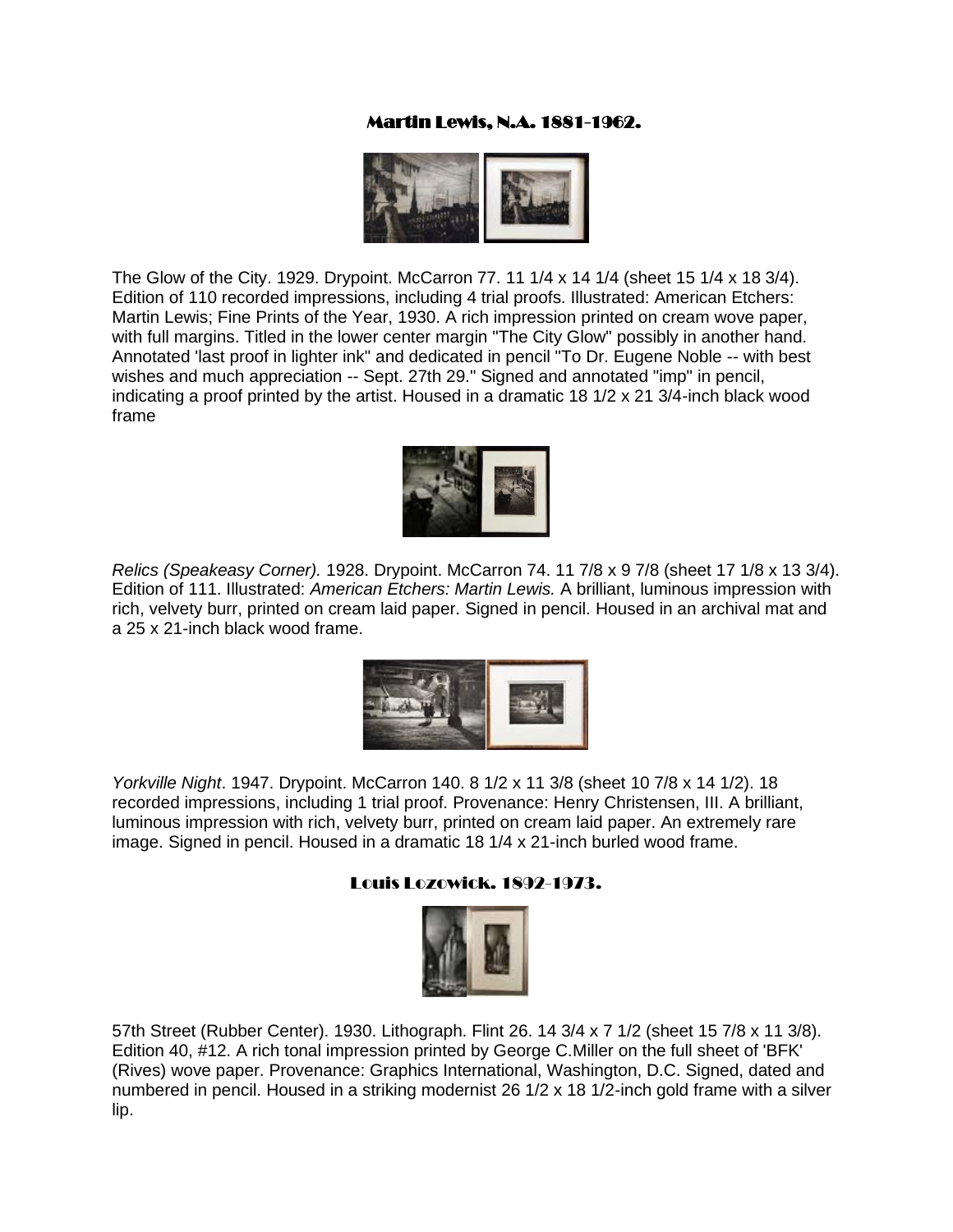# Martin Lewis, N.A. 1881-1962.



The Glow of the City. 1929. Drypoint. McCarron 77. 11 1/4 x 14 1/4 (sheet 15 1/4 x 18 3/4). Edition of 110 recorded impressions, including 4 trial proofs. Illustrated: American Etchers: Martin Lewis; Fine Prints of the Year, 1930. A rich impression printed on cream wove paper, with full margins. Titled in the lower center margin "The City Glow" possibly in another hand. Annotated 'last proof in lighter ink" and dedicated in pencil "To Dr. Eugene Noble -- with best wishes and much appreciation -- Sept. 27th 29." Signed and annotated "imp" in pencil, indicating a proof printed by the artist. Housed in a dramatic 18 1/2 x 21 3/4-inch black wood fram[e](http://allinsongallery.com/lewis/relics.html)



*Relics (Speakeasy Corner).* 1928. Drypoint. McCarron 74. 11 7/8 x 9 7/8 (sheet 17 1/8 x 13 3/4). Edition of 111. Illustrated: *American Etchers: Martin Lewis.* A brilliant, luminous impression with rich, velvety burr, printed on cream laid paper. Signed in pencil. Housed in an archival mat and a 25 x 21-inch black wood frame.



*Yorkville Night*. 1947. Drypoint. McCarron 140. 8 1/2 x 11 3/8 (sheet 10 7/8 x 14 1/2). 18 recorded impressions, including 1 trial proof. Provenance: Henry Christensen, III. A brilliant, luminous impression with rich, velvety burr, printed on cream laid paper. An extremely rare image. Signed in pencil. Housed in a dramatic 18 1/4 x 21-inch burled wood frame.

#### Louis Lozowick. 1892-1973.



57th Street (Rubber Center). 1930. Lithograph. Flint 26. 14 3/4 x 7 1/2 (sheet 15 7/8 x 11 3/8). Edition 40, #12. A rich tonal impression printed by George C.Miller on the full sheet of 'BFK' (Rives) wove paper. Provenance: Graphics International, Washington, D.C. Signed, dated and numbered in pencil. Housed in a striking modernist 26 1/2 x 18 1/2-inch gold frame with a silver lip.